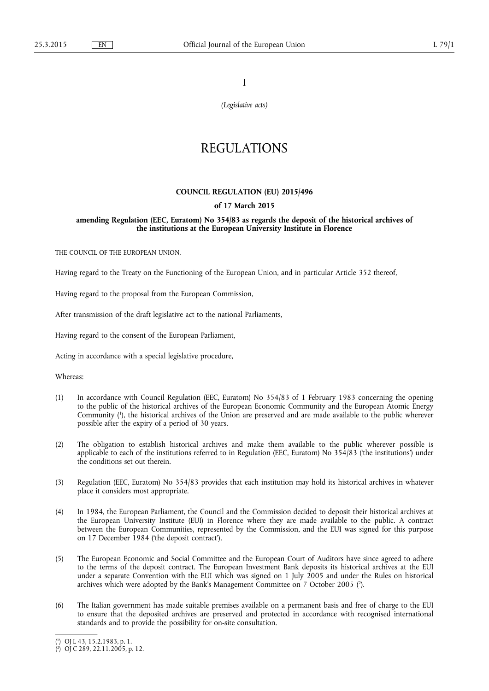I

*(Legislative acts)* 

# REGULATIONS

## **COUNCIL REGULATION (EU) 2015/496**

## **of 17 March 2015**

## **amending Regulation (EEC, Euratom) No 354/83 as regards the deposit of the historical archives of the institutions at the European University Institute in Florence**

THE COUNCIL OF THE EUROPEAN UNION.

Having regard to the Treaty on the Functioning of the European Union, and in particular Article 352 thereof,

Having regard to the proposal from the European Commission,

After transmission of the draft legislative act to the national Parliaments,

Having regard to the consent of the European Parliament,

Acting in accordance with a special legislative procedure,

Whereas:

- (1) In accordance with Council Regulation (EEC, Euratom) No 354/83 of 1 February 1983 concerning the opening to the public of the historical archives of the European Economic Community and the European Atomic Energy Community ( 1 ), the historical archives of the Union are preserved and are made available to the public wherever possible after the expiry of a period of 30 years.
- (2) The obligation to establish historical archives and make them available to the public wherever possible is applicable to each of the institutions referred to in Regulation (EEC, Euratom) No  $354/83$  ('the institutions') under the conditions set out therein.
- (3) Regulation (EEC, Euratom) No 354/83 provides that each institution may hold its historical archives in whatever place it considers most appropriate.
- (4) In 1984, the European Parliament, the Council and the Commission decided to deposit their historical archives at the European University Institute (EUI) in Florence where they are made available to the public. A contract between the European Communities, represented by the Commission, and the EUI was signed for this purpose on 17 December 1984 ('the deposit contract').
- (5) The European Economic and Social Committee and the European Court of Auditors have since agreed to adhere to the terms of the deposit contract. The European Investment Bank deposits its historical archives at the EUI under a separate Convention with the EUI which was signed on 1 July 2005 and under the Rules on historical archives which were adopted by the Bank's Management Committee on 7 October 2005 ( 2 ).
- (6) The Italian government has made suitable premises available on a permanent basis and free of charge to the EUI to ensure that the deposited archives are preserved and protected in accordance with recognised international standards and to provide the possibility for on-site consultation.

<sup>(</sup> 1 ) OJ L 43, 15.2.1983, p. 1.

<sup>(</sup> 2 ) OJ C 289, 22.11.2005, p. 12.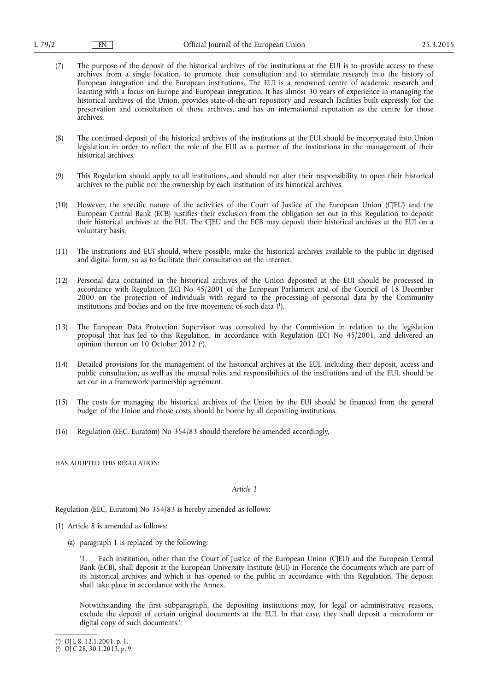- (7) The purpose of the deposit of the historical archives of the institutions at the EUI is to provide access to these archives from a single location, to promote their consultation and to stimulate research into the history of European integration and the European institutions. The EUI is a renowned centre of academic research and learning with a focus on Europe and European integration. It has almost 30 years of experience in managing the historical archives of the Union, provides state-of-the-art repository and research facilities built expressly for the preservation and consultation of those archives, and has an international reputation as the centre for those archives.
- (8) The continued deposit of the historical archives of the institutions at the EUI should be incorporated into Union legislation in order to reflect the role of the EUI as a partner of the institutions in the management of their historical archives.
- (9) This Regulation should apply to all institutions, and should not alter their responsibility to open their historical archives to the public nor the ownership by each institution of its historical archives.
- (10) However, the specific nature of the activities of the Court of Justice of the European Union (CJEU) and the European Central Bank (ECB) justifies their exclusion from the obligation set out in this Regulation to deposit their historical archives at the EUI. The CJEU and the ECB may deposit their historical archives at the EUI on a voluntary basis.
- (11) The institutions and EUI should, where possible, make the historical archives available to the public in digitised and digital form, so as to facilitate their consultation on the internet.
- (12) Personal data contained in the historical archives of the Union deposited at the EUI should be processed in accordance with Regulation (EC) No 45/2001 of the European Parliament and of the Council of 18 December 2000 on the protection of individuals with regard to the processing of personal data by the Community institutions and bodies and on the free movement of such data ( 1 ).
- (13) The European Data Protection Supervisor was consulted by the Commission in relation to the legislation proposal that has led to this Regulation, in accordance with Regulation (EC) No 45/2001, and delivered an opinion thereon on 10 October 2012 ( 2 ).
- (14) Detailed provisions for the management of the historical archives at the EUI, including their deposit, access and public consultation, as well as the mutual roles and responsibilities of the institutions and of the EUI, should be set out in a framework partnership agreement.
- (15) The costs for managing the historical archives of the Union by the EUI should be financed from the general budget of the Union and those costs should be borne by all depositing institutions.
- (16) Regulation (EEC, Euratom) No 354/83 should therefore be amended accordingly,

HAS ADOPTED THIS REGULATION:

## *Article 1*

Regulation (EEC, Euratom) No 354/83 is hereby amended as follows:

- (1) Article 8 is amended as follows:
	- (a) paragraph 1 is replaced by the following:

'1. Each institution, other than the Court of Justice of the European Union (CJEU) and the European Central Bank (ECB), shall deposit at the European University Institute (EUI) in Florence the documents which are part of its historical archives and which it has opened to the public in accordance with this Regulation. The deposit shall take place in accordance with the Annex.

Notwithstanding the first subparagraph, the depositing institutions may, for legal or administrative reasons, exclude the deposit of certain original documents at the EUI. In that case, they shall deposit a microform or digital copy of such documents.';

<sup>(</sup> 1 ) OJ L 8, 12.1.2001, p. 1.

<sup>(</sup> 2 ) OJ C 28, 30.1.2013, p. 9.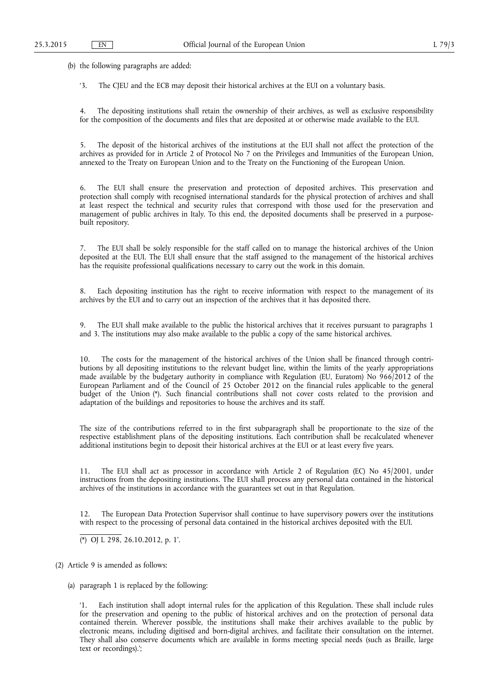(b) the following paragraphs are added:

'3. The CJEU and the ECB may deposit their historical archives at the EUI on a voluntary basis.

4. The depositing institutions shall retain the ownership of their archives, as well as exclusive responsibility for the composition of the documents and files that are deposited at or otherwise made available to the EUI.

5. The deposit of the historical archives of the institutions at the EUI shall not affect the protection of the archives as provided for in Article 2 of Protocol No 7 on the Privileges and Immunities of the European Union, annexed to the Treaty on European Union and to the Treaty on the Functioning of the European Union.

6. The EUI shall ensure the preservation and protection of deposited archives. This preservation and protection shall comply with recognised international standards for the physical protection of archives and shall at least respect the technical and security rules that correspond with those used for the preservation and management of public archives in Italy. To this end, the deposited documents shall be preserved in a purposebuilt repository.

7. The EUI shall be solely responsible for the staff called on to manage the historical archives of the Union deposited at the EUI. The EUI shall ensure that the staff assigned to the management of the historical archives has the requisite professional qualifications necessary to carry out the work in this domain.

8. Each depositing institution has the right to receive information with respect to the management of its archives by the EUI and to carry out an inspection of the archives that it has deposited there.

9. The EUI shall make available to the public the historical archives that it receives pursuant to paragraphs 1 and 3. The institutions may also make available to the public a copy of the same historical archives.

10. The costs for the management of the historical archives of the Union shall be financed through contributions by all depositing institutions to the relevant budget line, within the limits of the yearly appropriations made available by the budgetary authority in compliance with Regulation (EU, Euratom) No 966/2012 of the European Parliament and of the Council of 25 October 2012 on the financial rules applicable to the general budget of the Union (\*). Such financial contributions shall not cover costs related to the provision and adaptation of the buildings and repositories to house the archives and its staff.

The size of the contributions referred to in the first subparagraph shall be proportionate to the size of the respective establishment plans of the depositing institutions. Each contribution shall be recalculated whenever additional institutions begin to deposit their historical archives at the EUI or at least every five years.

11. The EUI shall act as processor in accordance with Article 2 of Regulation (EC) No 45/2001, under instructions from the depositing institutions. The EUI shall process any personal data contained in the historical archives of the institutions in accordance with the guarantees set out in that Regulation.

12. The European Data Protection Supervisor shall continue to have supervisory powers over the institutions with respect to the processing of personal data contained in the historical archives deposited with the EUI.

(\*) OJ L 298, 26.10.2012, p. 1'.

(2) Article 9 is amended as follows:

(a) paragraph 1 is replaced by the following:

Each institution shall adopt internal rules for the application of this Regulation. These shall include rules for the preservation and opening to the public of historical archives and on the protection of personal data contained therein. Wherever possible, the institutions shall make their archives available to the public by electronic means, including digitised and born-digital archives, and facilitate their consultation on the internet. They shall also conserve documents which are available in forms meeting special needs (such as Braille, large text or recordings).';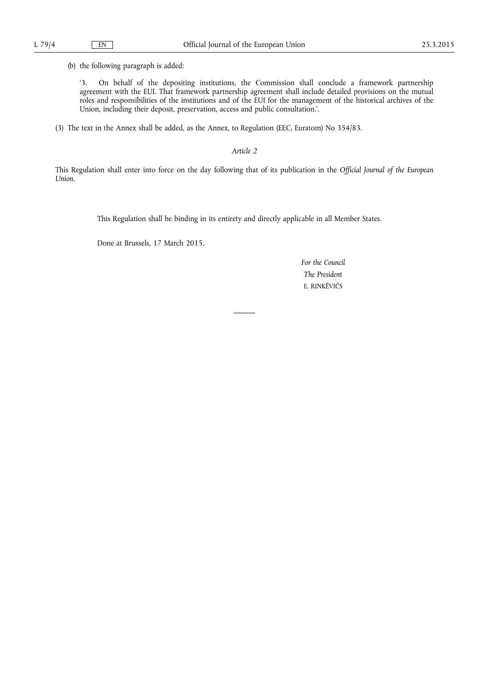(b) the following paragraph is added:

'3. On behalf of the depositing institutions, the Commission shall conclude a framework partnership agreement with the EUI. That framework partnership agreement shall include detailed provisions on the mutual roles and responsibilities of the institutions and of the EUI for the management of the historical archives of the Union, including their deposit, preservation, access and public consultation.'.

(3) The text in the Annex shall be added, as the Annex, to Regulation (EEC, Euratom) No 354/83.

*Article 2* 

This Regulation shall enter into force on the day following that of its publication in the *Official Journal of the European Union*.

This Regulation shall be binding in its entirety and directly applicable in all Member States.

Done at Brussels, 17 March 2015.

*For the Council The President*  E. RINKĒVIČS